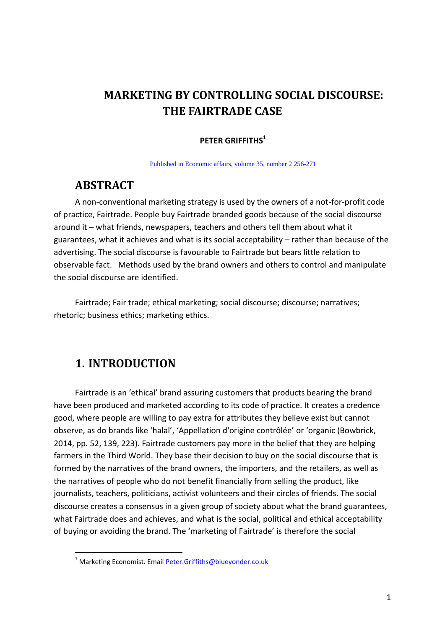# **MARKETING BY CONTROLLING SOCIAL DISCOURSE: THE FAIRTRADE CASE**

### **PETER GRIFFITHS<sup>1</sup>**

Published in [Economic affairs, volume 35, number 2 256-271](http://www.tandfonline.com/eprint/IWUbNiShyGHqdGjcr99k/full)

### **ABSTRACT**

A non-conventional marketing strategy is used by the owners of a not-for-profit code of practice, Fairtrade. People buy Fairtrade branded goods because of the social discourse around it – what friends, newspapers, teachers and others tell them about what it guarantees, what it achieves and what is its social acceptability – rather than because of the advertising. The social discourse is favourable to Fairtrade but bears little relation to observable fact. Methods used by the brand owners and others to control and manipulate the social discourse are identified.

Fairtrade; Fair trade; ethical marketing; social discourse; discourse; narratives; rhetoric; business ethics; marketing ethics.

## **1. INTRODUCTION**

 $\overline{a}$ 

Fairtrade is an 'ethical' brand assuring customers that products bearing the brand have been produced and marketed according to its code of practice. It creates a credence good, where people are willing to pay extra for attributes they believe exist but cannot observe, as do brands like 'halal', 'Appellation d'origine contrôlée' or 'organic (Bowbrick, 2014, pp. 52, 139, 223). Fairtrade customers pay more in the belief that they are helping farmers in the Third World. They base their decision to buy on the social discourse that is formed by the narratives of the brand owners, the importers, and the retailers, as well as the narratives of people who do not benefit financially from selling the product, like journalists, teachers, politicians, activist volunteers and their circles of friends. The social discourse creates a consensus in a given group of society about what the brand guarantees, what Fairtrade does and achieves, and what is the social, political and ethical acceptability of buying or avoiding the brand. The 'marketing of Fairtrade' is therefore the social

<sup>&</sup>lt;sup>1</sup> Marketing Economist. Email [Peter.Griffiths@blueyonder.co.uk](mailto:Peter.Griffiths@blueyonder.co.uk)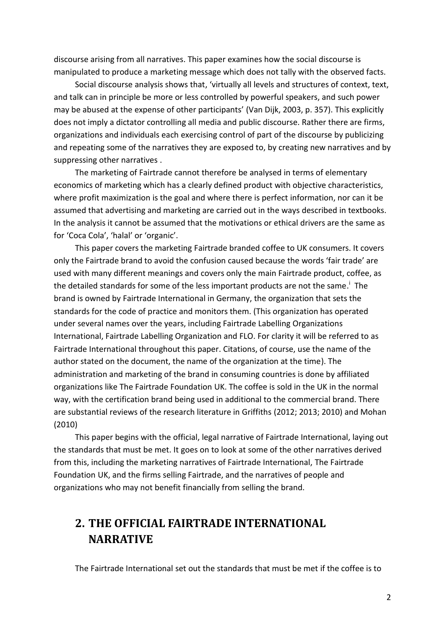discourse arising from all narratives. This paper examines how the social discourse is manipulated to produce a marketing message which does not tally with the observed facts.

Social discourse analysis shows that, 'virtually all levels and structures of context, text, and talk can in principle be more or less controlled by powerful speakers, and such power may be abused at the expense of other participants' (Van Dijk, 2003, p. 357). This explicitly does not imply a dictator controlling all media and public discourse. Rather there are firms, organizations and individuals each exercising control of part of the discourse by publicizing and repeating some of the narratives they are exposed to, by creating new narratives and by suppressing other narratives .

The marketing of Fairtrade cannot therefore be analysed in terms of elementary economics of marketing which has a clearly defined product with objective characteristics, where profit maximization is the goal and where there is perfect information, nor can it be assumed that advertising and marketing are carried out in the ways described in textbooks. In the analysis it cannot be assumed that the motivations or ethical drivers are the same as for 'Coca Cola', 'halal' or 'organic'.

This paper covers the marketing Fairtrade branded coffee to UK consumers. It covers only the Fairtrade brand to avoid the confusion caused because the words 'fair trade' are used with many different meanings and covers only the main Fairtrade product, coffee, as the detailed standards for some of the less important products are not the same.<sup>1</sup> The brand is owned by Fairtrade International in Germany, the organization that sets the standards for the code of practice and monitors them. (This organization has operated under several names over the years, including Fairtrade Labelling Organizations International, Fairtrade Labelling Organization and FLO. For clarity it will be referred to as Fairtrade International throughout this paper. Citations, of course, use the name of the author stated on the document, the name of the organization at the time). The administration and marketing of the brand in consuming countries is done by affiliated organizations like The Fairtrade Foundation UK. The coffee is sold in the UK in the normal way, with the certification brand being used in additional to the commercial brand. There are substantial reviews of the research literature in Griffiths (2012; 2013; 2010) and Mohan (2010)

This paper begins with the official, legal narrative of Fairtrade International, laying out the standards that must be met. It goes on to look at some of the other narratives derived from this, including the marketing narratives of Fairtrade International, The Fairtrade Foundation UK, and the firms selling Fairtrade, and the narratives of people and organizations who may not benefit financially from selling the brand.

# **2. THE OFFICIAL FAIRTRADE INTERNATIONAL NARRATIVE**

The Fairtrade International set out the standards that must be met if the coffee is to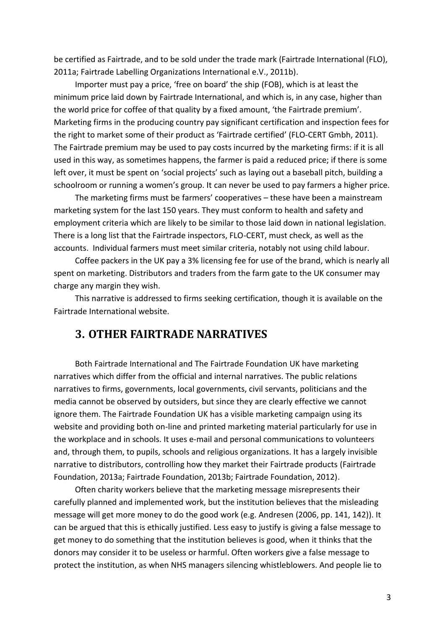be certified as Fairtrade, and to be sold under the trade mark (Fairtrade International (FLO), 2011a; Fairtrade Labelling Organizations International e.V., 2011b).

Importer must pay a price, 'free on board' the ship (FOB), which is at least the minimum price laid down by Fairtrade International, and which is, in any case, higher than the world price for coffee of that quality by a fixed amount, 'the Fairtrade premium'. Marketing firms in the producing country pay significant certification and inspection fees for the right to market some of their product as 'Fairtrade certified' (FLO-CERT Gmbh, 2011). The Fairtrade premium may be used to pay costs incurred by the marketing firms: if it is all used in this way, as sometimes happens, the farmer is paid a reduced price; if there is some left over, it must be spent on 'social projects' such as laying out a baseball pitch, building a schoolroom or running a women's group. It can never be used to pay farmers a higher price.

The marketing firms must be farmers' cooperatives – these have been a mainstream marketing system for the last 150 years. They must conform to health and safety and employment criteria which are likely to be similar to those laid down in national legislation. There is a long list that the Fairtrade inspectors, FLO-CERT, must check, as well as the accounts. Individual farmers must meet similar criteria, notably not using child labour.

Coffee packers in the UK pay a 3% licensing fee for use of the brand, which is nearly all spent on marketing. Distributors and traders from the farm gate to the UK consumer may charge any margin they wish.

This narrative is addressed to firms seeking certification, though it is available on the Fairtrade International website.

### **3. OTHER FAIRTRADE NARRATIVES**

Both Fairtrade International and The Fairtrade Foundation UK have marketing narratives which differ from the official and internal narratives. The public relations narratives to firms, governments, local governments, civil servants, politicians and the media cannot be observed by outsiders, but since they are clearly effective we cannot ignore them. The Fairtrade Foundation UK has a visible marketing campaign using its website and providing both on-line and printed marketing material particularly for use in the workplace and in schools. It uses e-mail and personal communications to volunteers and, through them, to pupils, schools and religious organizations. It has a largely invisible narrative to distributors, controlling how they market their Fairtrade products (Fairtrade Foundation, 2013a; Fairtrade Foundation, 2013b; Fairtrade Foundation, 2012).

Often charity workers believe that the marketing message misrepresents their carefully planned and implemented work, but the institution believes that the misleading message will get more money to do the good work (e.g. Andresen (2006, pp. 141, 142)). It can be argued that this is ethically justified. Less easy to justify is giving a false message to get money to do something that the institution believes is good, when it thinks that the donors may consider it to be useless or harmful. Often workers give a false message to protect the institution, as when NHS managers silencing whistleblowers. And people lie to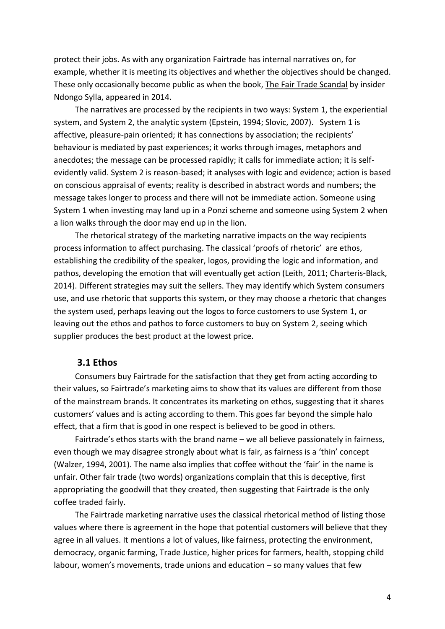protect their jobs. As with any organization Fairtrade has internal narratives on, for example, whether it is meeting its objectives and whether the objectives should be changed. These only occasionally become public as when the book, The Fair Trade Scandal by insider Ndongo Sylla, appeared in 2014.

The narratives are processed by the recipients in two ways: System 1, the experiential system, and System 2, the analytic system (Epstein, 1994; Slovic, 2007). System 1 is affective, pleasure-pain oriented; it has connections by association; the recipients' behaviour is mediated by past experiences; it works through images, metaphors and anecdotes; the message can be processed rapidly; it calls for immediate action; it is selfevidently valid. System 2 is reason-based; it analyses with logic and evidence; action is based on conscious appraisal of events; reality is described in abstract words and numbers; the message takes longer to process and there will not be immediate action. Someone using System 1 when investing may land up in a Ponzi scheme and someone using System 2 when a lion walks through the door may end up in the lion.

The rhetorical strategy of the marketing narrative impacts on the way recipients process information to affect purchasing. The classical 'proofs of rhetoric' are ethos, establishing the credibility of the speaker, logos, providing the logic and information, and pathos, developing the emotion that will eventually get action (Leith, 2011; Charteris-Black, 2014). Different strategies may suit the sellers. They may identify which System consumers use, and use rhetoric that supports this system, or they may choose a rhetoric that changes the system used, perhaps leaving out the logos to force customers to use System 1, or leaving out the ethos and pathos to force customers to buy on System 2, seeing which supplier produces the best product at the lowest price.

### **3.1 Ethos**

Consumers buy Fairtrade for the satisfaction that they get from acting according to their values, so Fairtrade's marketing aims to show that its values are different from those of the mainstream brands. It concentrates its marketing on ethos, suggesting that it shares customers' values and is acting according to them. This goes far beyond the simple halo effect, that a firm that is good in one respect is believed to be good in others.

Fairtrade's ethos starts with the brand name – we all believe passionately in fairness, even though we may disagree strongly about what is fair, as fairness is a 'thin' concept (Walzer, 1994, 2001). The name also implies that coffee without the 'fair' in the name is unfair. Other fair trade (two words) organizations complain that this is deceptive, first appropriating the goodwill that they created, then suggesting that Fairtrade is the only coffee traded fairly.

The Fairtrade marketing narrative uses the classical rhetorical method of listing those values where there is agreement in the hope that potential customers will believe that they agree in all values. It mentions a lot of values, like fairness, protecting the environment, democracy, organic farming, Trade Justice, higher prices for farmers, health, stopping child labour, women's movements, trade unions and education – so many values that few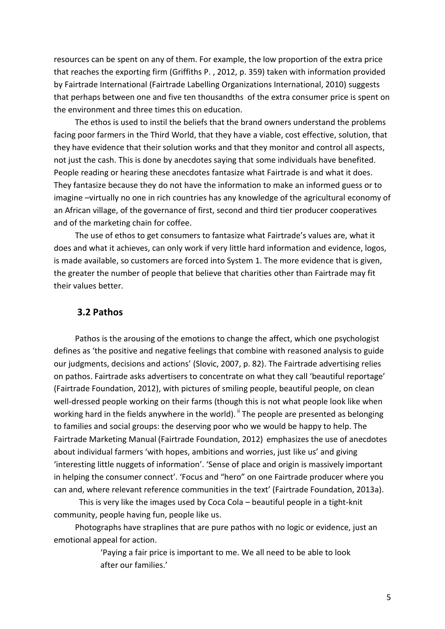resources can be spent on any of them. For example, the low proportion of the extra price that reaches the exporting firm (Griffiths P. , 2012, p. 359) taken with information provided by Fairtrade International (Fairtrade Labelling Organizations International, 2010) suggests that perhaps between one and five ten thousandths of the extra consumer price is spent on the environment and three times this on education.

The ethos is used to instil the beliefs that the brand owners understand the problems facing poor farmers in the Third World, that they have a viable, cost effective, solution, that they have evidence that their solution works and that they monitor and control all aspects, not just the cash. This is done by anecdotes saying that some individuals have benefited. People reading or hearing these anecdotes fantasize what Fairtrade is and what it does. They fantasize because they do not have the information to make an informed guess or to imagine –virtually no one in rich countries has any knowledge of the agricultural economy of an African village, of the governance of first, second and third tier producer cooperatives and of the marketing chain for coffee.

The use of ethos to get consumers to fantasize what Fairtrade's values are, what it does and what it achieves, can only work if very little hard information and evidence, logos, is made available, so customers are forced into System 1. The more evidence that is given, the greater the number of people that believe that charities other than Fairtrade may fit their values better.

### **3.2 Pathos**

Pathos is the arousing of the emotions to change the affect, which one psychologist defines as 'the positive and negative feelings that combine with reasoned analysis to guide our judgments, decisions and actions' (Slovic, 2007, p. 82). The Fairtrade advertising relies on pathos. Fairtrade asks advertisers to concentrate on what they call 'beautiful reportage' (Fairtrade Foundation, 2012), with pictures of smiling people, beautiful people, on clean well-dressed people working on their farms (though this is not what people look like when working hard in the fields anywhere in the world). <sup>ii</sup> The people are presented as belonging to families and social groups: the deserving poor who we would be happy to help. The Fairtrade Marketing Manual (Fairtrade Foundation, 2012) emphasizes the use of anecdotes about individual farmers 'with hopes, ambitions and worries, just like us' and giving 'interesting little nuggets of information'. 'Sense of place and origin is massively important in helping the consumer connect'. 'Focus and "hero" on one Fairtrade producer where you can and, where relevant reference communities in the text' (Fairtrade Foundation, 2013a).

 This is very like the images used by Coca Cola – beautiful people in a tight-knit community, people having fun, people like us.

Photographs have straplines that are pure pathos with no logic or evidence, just an emotional appeal for action.

> 'Paying a fair price is important to me. We all need to be able to look after our families.'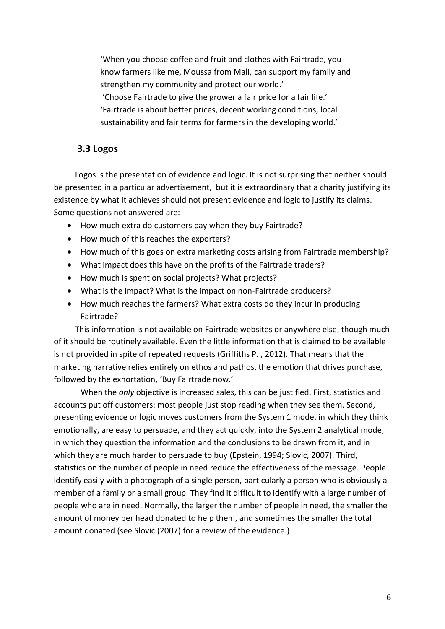'When you choose coffee and fruit and clothes with Fairtrade, you know farmers like me, Moussa from Mali, can support my family and strengthen my community and protect our world.' 'Choose Fairtrade to give the grower a fair price for a fair life.' 'Fairtrade is about better prices, decent working conditions, local sustainability and fair terms for farmers in the developing world.'

### **3.3 Logos**

Logos is the presentation of evidence and logic. It is not surprising that neither should be presented in a particular advertisement, but it is extraordinary that a charity justifying its existence by what it achieves should not present evidence and logic to justify its claims. Some questions not answered are:

- How much extra do customers pay when they buy Fairtrade?
- How much of this reaches the exporters?
- How much of this goes on extra marketing costs arising from Fairtrade membership?
- What impact does this have on the profits of the Fairtrade traders?
- How much is spent on social projects? What projects?
- What is the impact? What is the impact on non-Fairtrade producers?
- How much reaches the farmers? What extra costs do they incur in producing Fairtrade?

This information is not available on Fairtrade websites or anywhere else, though much of it should be routinely available. Even the little information that is claimed to be available is not provided in spite of repeated requests (Griffiths P. , 2012). That means that the marketing narrative relies entirely on ethos and pathos, the emotion that drives purchase, followed by the exhortation, 'Buy Fairtrade now.'

When the *only* objective is increased sales, this can be justified. First, statistics and accounts put off customers: most people just stop reading when they see them. Second, presenting evidence or logic moves customers from the System 1 mode, in which they think emotionally, are easy to persuade, and they act quickly, into the System 2 analytical mode, in which they question the information and the conclusions to be drawn from it, and in which they are much harder to persuade to buy (Epstein, 1994; Slovic, 2007). Third, statistics on the number of people in need reduce the effectiveness of the message. People identify easily with a photograph of a single person, particularly a person who is obviously a member of a family or a small group. They find it difficult to identify with a large number of people who are in need. Normally, the larger the number of people in need, the smaller the amount of money per head donated to help them, and sometimes the smaller the total amount donated (see Slovic (2007) for a review of the evidence.)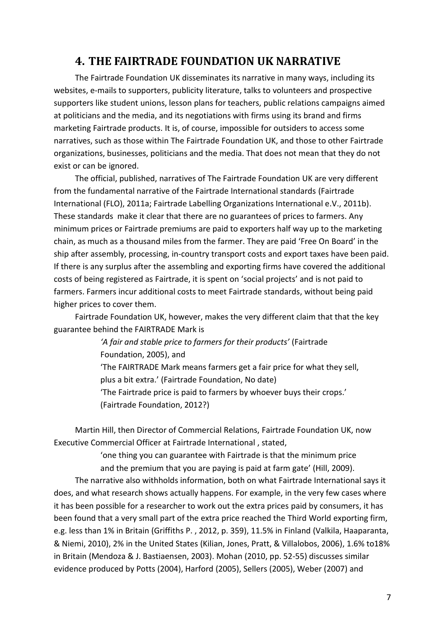### **4. THE FAIRTRADE FOUNDATION UK NARRATIVE**

The Fairtrade Foundation UK disseminates its narrative in many ways, including its websites, e-mails to supporters, publicity literature, talks to volunteers and prospective supporters like student unions, lesson plans for teachers, public relations campaigns aimed at politicians and the media, and its negotiations with firms using its brand and firms marketing Fairtrade products. It is, of course, impossible for outsiders to access some narratives, such as those within The Fairtrade Foundation UK, and those to other Fairtrade organizations, businesses, politicians and the media. That does not mean that they do not exist or can be ignored.

The official, published, narratives of The Fairtrade Foundation UK are very different from the fundamental narrative of the Fairtrade International standards (Fairtrade International (FLO), 2011a; Fairtrade Labelling Organizations International e.V., 2011b). These standards make it clear that there are no guarantees of prices to farmers. Any minimum prices or Fairtrade premiums are paid to exporters half way up to the marketing chain, as much as a thousand miles from the farmer. They are paid 'Free On Board' in the ship after assembly, processing, in-country transport costs and export taxes have been paid. If there is any surplus after the assembling and exporting firms have covered the additional costs of being registered as Fairtrade, it is spent on 'social projects' and is not paid to farmers. Farmers incur additional costs to meet Fairtrade standards, without being paid higher prices to cover them.

Fairtrade Foundation UK, however, makes the very different claim that that the key guarantee behind the FAIRTRADE Mark is

> *'A fair and stable price to farmers for their products'* (Fairtrade Foundation, 2005), and 'The FAIRTRADE Mark means farmers get a fair price for what they sell, plus a bit extra.' (Fairtrade Foundation, No date) 'The Fairtrade price is paid to farmers by whoever buys their crops.' (Fairtrade Foundation, 2012?)

Martin Hill, then Director of Commercial Relations, Fairtrade Foundation UK, now Executive Commercial Officer at [Fairtrade International ,](http://uk.linkedin.com/company/fairtrade-international-flo-?trk=ppro_cprof) stated,

'one thing you can guarantee with Fairtrade is that the minimum price

and the premium that you are paying is paid at farm gate' (Hill, 2009).

The narrative also withholds information, both on what Fairtrade International says it does, and what research shows actually happens. For example, in the very few cases where it has been possible for a researcher to work out the extra prices paid by consumers, it has been found that a very small part of the extra price reached the Third World exporting firm, e.g. less than 1% in Britain (Griffiths P. , 2012, p. 359), 11.5% in Finland (Valkila, Haaparanta, & Niemi, 2010), 2% in the United States (Kilian, Jones, Pratt, & Villalobos, 2006), 1.6% to18% in Britain (Mendoza & J. Bastiaensen, 2003). Mohan (2010, pp. 52-55) discusses similar evidence produced by Potts (2004), Harford (2005), Sellers (2005), Weber (2007) and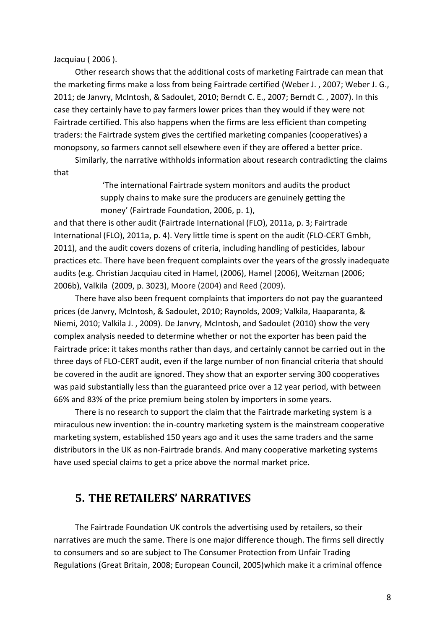#### Jacquiau ( 2006 ).

Other research shows that the additional costs of marketing Fairtrade can mean that the marketing firms make a loss from being Fairtrade certified (Weber J. , 2007; Weber J. G., 2011; de Janvry, McIntosh, & Sadoulet, 2010; Berndt C. E., 2007; Berndt C. , 2007). In this case they certainly have to pay farmers lower prices than they would if they were not Fairtrade certified. This also happens when the firms are less efficient than competing traders: the Fairtrade system gives the certified marketing companies (cooperatives) a monopsony, so farmers cannot sell elsewhere even if they are offered a better price.

Similarly, the narrative withholds information about research contradicting the claims that

> 'The international Fairtrade system monitors and audits the product supply chains to make sure the producers are genuinely getting the money' (Fairtrade Foundation, 2006, p. 1),

and that there is other audit (Fairtrade International (FLO), 2011a, p. 3; Fairtrade International (FLO), 2011a, p. 4). Very little time is spent on the audit (FLO-CERT Gmbh, 2011), and the audit covers dozens of criteria, including handling of pesticides, labour practices etc. There have been frequent complaints over the years of the grossly inadequate audits (e.g. Christian Jacquiau cited in Hamel, (2006), Hamel (2006), Weitzman (2006; 2006b), Valkila (2009, p. 3023), Moore (2004) and Reed (2009).

There have also been frequent complaints that importers do not pay the guaranteed prices (de Janvry, McIntosh, & Sadoulet, 2010; Raynolds, 2009; Valkila, Haaparanta, & Niemi, 2010; Valkila J. , 2009). De Janvry, McIntosh, and Sadoulet (2010) show the very complex analysis needed to determine whether or not the exporter has been paid the Fairtrade price: it takes months rather than days, and certainly cannot be carried out in the three days of FLO-CERT audit, even if the large number of non financial criteria that should be covered in the audit are ignored. They show that an exporter serving 300 cooperatives was paid substantially less than the guaranteed price over a 12 year period, with between 66% and 83% of the price premium being stolen by importers in some years.

There is no research to support the claim that the Fairtrade marketing system is a miraculous new invention: the in-country marketing system is the mainstream cooperative marketing system, established 150 years ago and it uses the same traders and the same distributors in the UK as non-Fairtrade brands. And many cooperative marketing systems have used special claims to get a price above the normal market price.

### **5. THE RETAILERS' NARRATIVES**

The Fairtrade Foundation UK controls the advertising used by retailers, so their narratives are much the same. There is one major difference though. The firms sell directly to consumers and so are subject to The Consumer Protection from Unfair Trading Regulations (Great Britain, 2008; European Council, 2005)which make it a criminal offence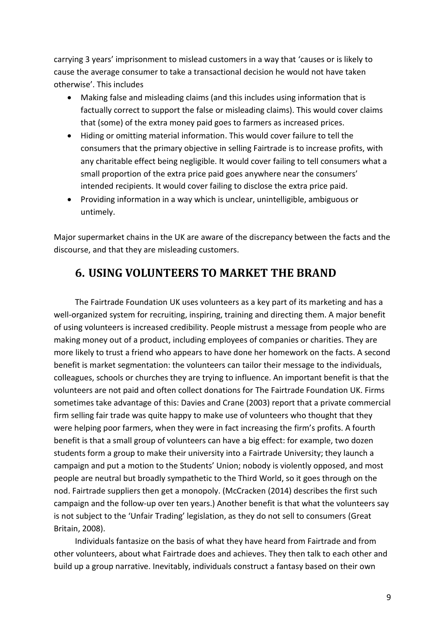carrying 3 years' imprisonment to mislead customers in a way that 'causes or is likely to cause the average consumer to take a transactional decision he would not have taken otherwise'. This includes

- Making false and misleading claims (and this includes using information that is factually correct to support the false or misleading claims). This would cover claims that (some) of the extra money paid goes to farmers as increased prices.
- Hiding or omitting material information. This would cover failure to tell the consumers that the primary objective in selling Fairtrade is to increase profits, with any charitable effect being negligible. It would cover failing to tell consumers what a small proportion of the extra price paid goes anywhere near the consumers' intended recipients. It would cover failing to disclose the extra price paid.
- Providing information in a way which is unclear, unintelligible, ambiguous or untimely.

Major supermarket chains in the UK are aware of the discrepancy between the facts and the discourse, and that they are misleading customers.

## **6. USING VOLUNTEERS TO MARKET THE BRAND**

The Fairtrade Foundation UK uses volunteers as a key part of its marketing and has a well-organized system for recruiting, inspiring, training and directing them. A major benefit of using volunteers is increased credibility. People mistrust a message from people who are making money out of a product, including employees of companies or charities. They are more likely to trust a friend who appears to have done her homework on the facts. A second benefit is market segmentation: the volunteers can tailor their message to the individuals, colleagues, schools or churches they are trying to influence. An important benefit is that the volunteers are not paid and often collect donations for The Fairtrade Foundation UK. Firms sometimes take advantage of this: Davies and Crane (2003) report that a private commercial firm selling fair trade was quite happy to make use of volunteers who thought that they were helping poor farmers, when they were in fact increasing the firm's profits. A fourth benefit is that a small group of volunteers can have a big effect: for example, two dozen students form a group to make their university into a Fairtrade University; they launch a campaign and put a motion to the Students' Union; nobody is violently opposed, and most people are neutral but broadly sympathetic to the Third World, so it goes through on the nod. Fairtrade suppliers then get a monopoly. (McCracken (2014) describes the first such campaign and the follow-up over ten years.) Another benefit is that what the volunteers say is not subject to the 'Unfair Trading' legislation, as they do not sell to consumers (Great Britain, 2008).

Individuals fantasize on the basis of what they have heard from Fairtrade and from other volunteers, about what Fairtrade does and achieves. They then talk to each other and build up a group narrative. Inevitably, individuals construct a fantasy based on their own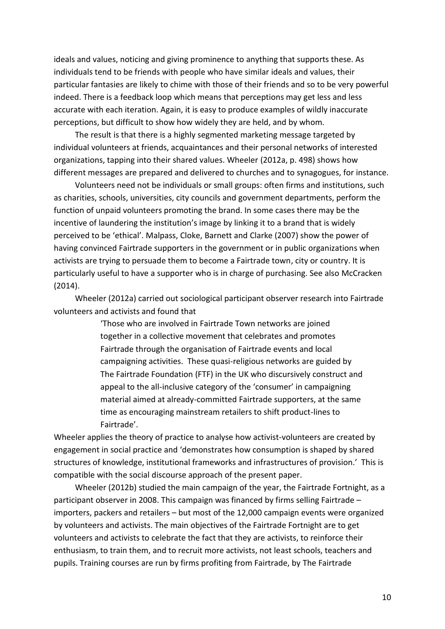ideals and values, noticing and giving prominence to anything that supports these. As individuals tend to be friends with people who have similar ideals and values, their particular fantasies are likely to chime with those of their friends and so to be very powerful indeed. There is a feedback loop which means that perceptions may get less and less accurate with each iteration. Again, it is easy to produce examples of wildly inaccurate perceptions, but difficult to show how widely they are held, and by whom.

The result is that there is a highly segmented marketing message targeted by individual volunteers at friends, acquaintances and their personal networks of interested organizations, tapping into their shared values. Wheeler (2012a, p. 498) shows how different messages are prepared and delivered to churches and to synagogues, for instance.

Volunteers need not be individuals or small groups: often firms and institutions, such as charities, schools, universities, city councils and government departments, perform the function of unpaid volunteers promoting the brand. In some cases there may be the incentive of laundering the institution's image by linking it to a brand that is widely perceived to be 'ethical'. Malpass, Cloke, Barnett and Clarke (2007) show the power of having convinced Fairtrade supporters in the government or in public organizations when activists are trying to persuade them to become a Fairtrade town, city or country. It is particularly useful to have a supporter who is in charge of purchasing. See also McCracken (2014).

Wheeler (2012a) carried out sociological participant observer research into Fairtrade volunteers and activists and found that

> 'Those who are involved in Fairtrade Town networks are joined together in a collective movement that celebrates and promotes Fairtrade through the organisation of Fairtrade events and local campaigning activities. These quasi-religious networks are guided by The Fairtrade Foundation (FTF) in the UK who discursively construct and appeal to the all-inclusive category of the 'consumer' in campaigning material aimed at already-committed Fairtrade supporters, at the same time as encouraging mainstream retailers to shift product-lines to Fairtrade'.

Wheeler applies the theory of practice to analyse how activist-volunteers are created by engagement in social practice and 'demonstrates how consumption is shaped by shared structures of knowledge, institutional frameworks and infrastructures of provision.' This is compatible with the social discourse approach of the present paper.

Wheeler (2012b) studied the main campaign of the year, the Fairtrade Fortnight, as a participant observer in 2008. This campaign was financed by firms selling Fairtrade – importers, packers and retailers – but most of the 12,000 campaign events were organized by volunteers and activists. The main objectives of the Fairtrade Fortnight are to get volunteers and activists to celebrate the fact that they are activists, to reinforce their enthusiasm, to train them, and to recruit more activists, not least schools, teachers and pupils. Training courses are run by firms profiting from Fairtrade, by The Fairtrade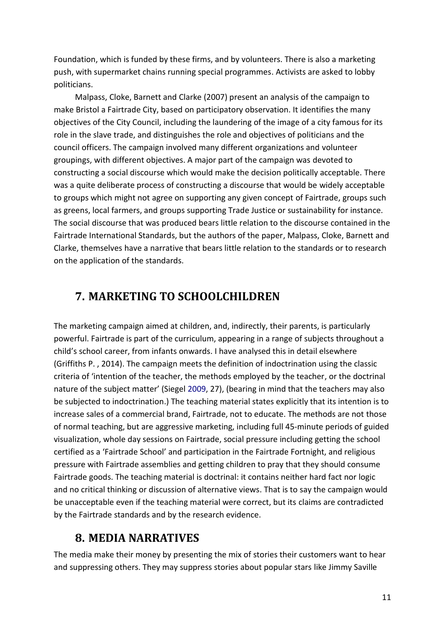Foundation, which is funded by these firms, and by volunteers. There is also a marketing push, with supermarket chains running special programmes. Activists are asked to lobby politicians.

Malpass, Cloke, Barnett and Clarke (2007) present an analysis of the campaign to make Bristol a Fairtrade City, based on participatory observation. It identifies the many objectives of the City Council, including the laundering of the image of a city famous for its role in the slave trade, and distinguishes the role and objectives of politicians and the council officers. The campaign involved many different organizations and volunteer groupings, with different objectives. A major part of the campaign was devoted to constructing a social discourse which would make the decision politically acceptable. There was a quite deliberate process of constructing a discourse that would be widely acceptable to groups which might not agree on supporting any given concept of Fairtrade, groups such as greens, local farmers, and groups supporting Trade Justice or sustainability for instance. The social discourse that was produced bears little relation to the discourse contained in the Fairtrade International Standards, but the authors of the paper, Malpass, Cloke, Barnett and Clarke, themselves have a narrative that bears little relation to the standards or to research on the application of the standards.

### **7. MARKETING TO SCHOOLCHILDREN**

The marketing campaign aimed at children, and, indirectly, their parents, is particularly powerful. Fairtrade is part of the curriculum, appearing in a range of subjects throughout a child's school career, from infants onwards. I have analysed this in detail elsewhere (Griffiths P. , 2014). The campaign meets the definition of indoctrination using the classic criteria of 'intention of the teacher, the methods employed by the teacher, or the doctrinal nature of the subject matter' (Siegel 2009, 27), (bearing in mind that the teachers may also be subjected to indoctrination.) The teaching material states explicitly that its intention is to increase sales of a commercial brand, Fairtrade, not to educate. The methods are not those of normal teaching, but are aggressive marketing, including full 45-minute periods of guided visualization, whole day sessions on Fairtrade, social pressure including getting the school certified as a 'Fairtrade School' and participation in the Fairtrade Fortnight, and religious pressure with Fairtrade assemblies and getting children to pray that they should consume Fairtrade goods. The teaching material is doctrinal: it contains neither hard fact nor logic and no critical thinking or discussion of alternative views. That is to say the campaign would be unacceptable even if the teaching material were correct, but its claims are contradicted by the Fairtrade standards and by the research evidence.

## **8. MEDIA NARRATIVES**

The media make their money by presenting the mix of stories their customers want to hear and suppressing others. They may suppress stories about popular stars like Jimmy Saville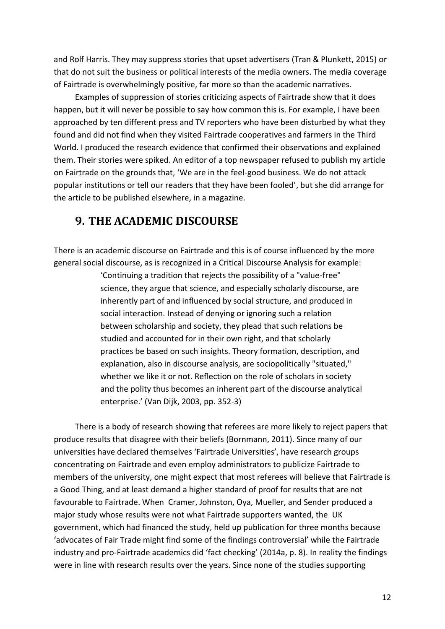and Rolf Harris. They may suppress stories that upset advertisers (Tran & Plunkett, 2015) or that do not suit the business or political interests of the media owners. The media coverage of Fairtrade is overwhelmingly positive, far more so than the academic narratives.

Examples of suppression of stories criticizing aspects of Fairtrade show that it does happen, but it will never be possible to say how common this is. For example, I have been approached by ten different press and TV reporters who have been disturbed by what they found and did not find when they visited Fairtrade cooperatives and farmers in the Third World. I produced the research evidence that confirmed their observations and explained them. Their stories were spiked. An editor of a top newspaper refused to publish my article on Fairtrade on the grounds that, 'We are in the feel-good business. We do not attack popular institutions or tell our readers that they have been fooled', but she did arrange for the article to be published elsewhere, in a magazine.

## **9. THE ACADEMIC DISCOURSE**

There is an academic discourse on Fairtrade and this is of course influenced by the more general social discourse, as is recognized in a Critical Discourse Analysis for example:

> 'Continuing a tradition that rejects the possibility of a "value-free" science, they argue that science, and especially scholarly discourse, are inherently part of and influenced by social structure, and produced in social interaction. Instead of denying or ignoring such a relation between scholarship and society, they plead that such relations be studied and accounted for in their own right, and that scholarly practices be based on such insights. Theory formation, description, and explanation, also in discourse analysis, are sociopolitically "situated," whether we like it or not. Reflection on the role of scholars in society and the polity thus becomes an inherent part of the discourse analytical enterprise.' (Van Dijk, 2003, pp. 352-3)

There is a body of research showing that referees are more likely to reject papers that produce results that disagree with their beliefs (Bornmann, 2011). Since many of our universities have declared themselves 'Fairtrade Universities', have research groups concentrating on Fairtrade and even employ administrators to publicize Fairtrade to members of the university, one might expect that most referees will believe that Fairtrade is a Good Thing, and at least demand a higher standard of proof for results that are not favourable to Fairtrade. When Cramer, Johnston, Oya, Mueller, and Sender produced a major study whose results were not what Fairtrade supporters wanted, the UK government, which had financed the study, held up publication for three months because 'advocates of Fair Trade might find some of the findings controversial' while the Fairtrade industry and pro-Fairtrade academics did 'fact checking' (2014a, p. 8). In reality the findings were in line with research results over the years. Since none of the studies supporting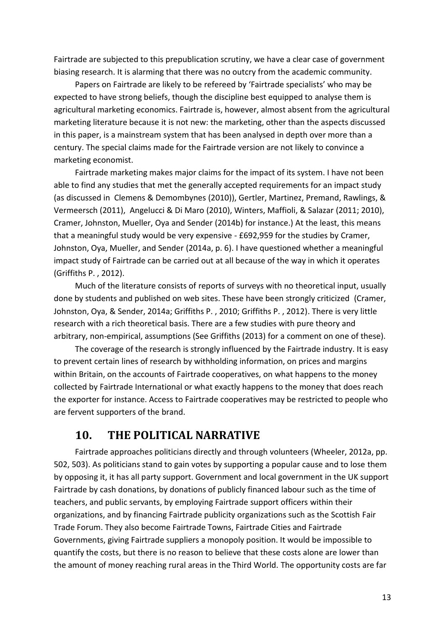Fairtrade are subjected to this prepublication scrutiny, we have a clear case of government biasing research. It is alarming that there was no outcry from the academic community.

Papers on Fairtrade are likely to be refereed by 'Fairtrade specialists' who may be expected to have strong beliefs, though the discipline best equipped to analyse them is agricultural marketing economics. Fairtrade is, however, almost absent from the agricultural marketing literature because it is not new: the marketing, other than the aspects discussed in this paper, is a mainstream system that has been analysed in depth over more than a century. The special claims made for the Fairtrade version are not likely to convince a marketing economist.

Fairtrade marketing makes major claims for the impact of its system. I have not been able to find any studies that met the generally accepted requirements for an impact study (as discussed in Clemens & Demombynes (2010)), Gertler, Martinez, Premand, Rawlings, & Vermeersch (2011), Angelucci & Di Maro (2010), Winters, Maffioli, & Salazar (2011; 2010), Cramer, Johnston, Mueller, Oya and Sender (2014b) for instance.) At the least, this means that a meaningful study would be very expensive - £692,959 for the studies by Cramer, Johnston, Oya, Mueller, and Sender (2014a, p. 6). I have questioned whether a meaningful impact study of Fairtrade can be carried out at all because of the way in which it operates (Griffiths P. , 2012).

Much of the literature consists of reports of surveys with no theoretical input, usually done by students and published on web sites. These have been strongly criticized (Cramer, Johnston, Oya, & Sender, 2014a; Griffiths P. , 2010; Griffiths P. , 2012). There is very little research with a rich theoretical basis. There are a few studies with pure theory and arbitrary, non-empirical, assumptions (See Griffiths (2013) for a comment on one of these).

The coverage of the research is strongly influenced by the Fairtrade industry. It is easy to prevent certain lines of research by withholding information, on prices and margins within Britain, on the accounts of Fairtrade cooperatives, on what happens to the money collected by Fairtrade International or what exactly happens to the money that does reach the exporter for instance. Access to Fairtrade cooperatives may be restricted to people who are fervent supporters of the brand.

### **10. THE POLITICAL NARRATIVE**

Fairtrade approaches politicians directly and through volunteers (Wheeler, 2012a, pp. 502, 503). As politicians stand to gain votes by supporting a popular cause and to lose them by opposing it, it has all party support. Government and local government in the UK support Fairtrade by cash donations, by donations of publicly financed labour such as the time of teachers, and public servants, by employing Fairtrade support officers within their organizations, and by financing Fairtrade publicity organizations such as the Scottish Fair Trade Forum. They also become Fairtrade Towns, Fairtrade Cities and Fairtrade Governments, giving Fairtrade suppliers a monopoly position. It would be impossible to quantify the costs, but there is no reason to believe that these costs alone are lower than the amount of money reaching rural areas in the Third World. The opportunity costs are far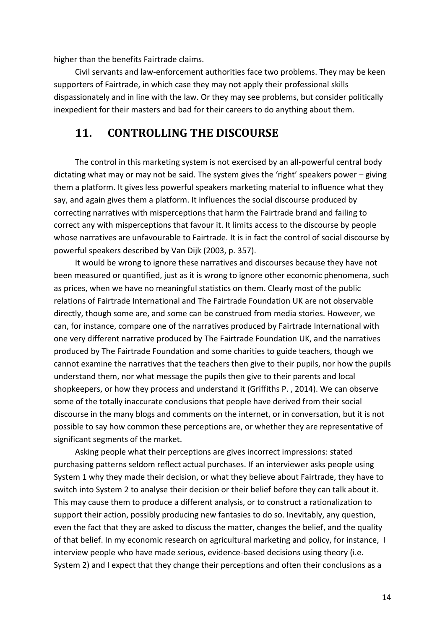higher than the benefits Fairtrade claims.

Civil servants and law-enforcement authorities face two problems. They may be keen supporters of Fairtrade, in which case they may not apply their professional skills dispassionately and in line with the law. Or they may see problems, but consider politically inexpedient for their masters and bad for their careers to do anything about them.

### **11. CONTROLLING THE DISCOURSE**

The control in this marketing system is not exercised by an all-powerful central body dictating what may or may not be said. The system gives the 'right' speakers power – giving them a platform. It gives less powerful speakers marketing material to influence what they say, and again gives them a platform. It influences the social discourse produced by correcting narratives with misperceptions that harm the Fairtrade brand and failing to correct any with misperceptions that favour it. It limits access to the discourse by people whose narratives are unfavourable to Fairtrade. It is in fact the control of social discourse by powerful speakers described by Van Dijk (2003, p. 357).

It would be wrong to ignore these narratives and discourses because they have not been measured or quantified, just as it is wrong to ignore other economic phenomena, such as prices, when we have no meaningful statistics on them. Clearly most of the public relations of Fairtrade International and The Fairtrade Foundation UK are not observable directly, though some are, and some can be construed from media stories. However, we can, for instance, compare one of the narratives produced by Fairtrade International with one very different narrative produced by The Fairtrade Foundation UK, and the narratives produced by The Fairtrade Foundation and some charities to guide teachers, though we cannot examine the narratives that the teachers then give to their pupils, nor how the pupils understand them, nor what message the pupils then give to their parents and local shopkeepers, or how they process and understand it (Griffiths P. , 2014). We can observe some of the totally inaccurate conclusions that people have derived from their social discourse in the many blogs and comments on the internet, or in conversation, but it is not possible to say how common these perceptions are, or whether they are representative of significant segments of the market.

Asking people what their perceptions are gives incorrect impressions: stated purchasing patterns seldom reflect actual purchases. If an interviewer asks people using System 1 why they made their decision, or what they believe about Fairtrade, they have to switch into System 2 to analyse their decision or their belief before they can talk about it. This may cause them to produce a different analysis, or to construct a rationalization to support their action, possibly producing new fantasies to do so. Inevitably, any question, even the fact that they are asked to discuss the matter, changes the belief, and the quality of that belief. In my economic research on agricultural marketing and policy, for instance, I interview people who have made serious, evidence-based decisions using theory (i.e. System 2) and I expect that they change their perceptions and often their conclusions as a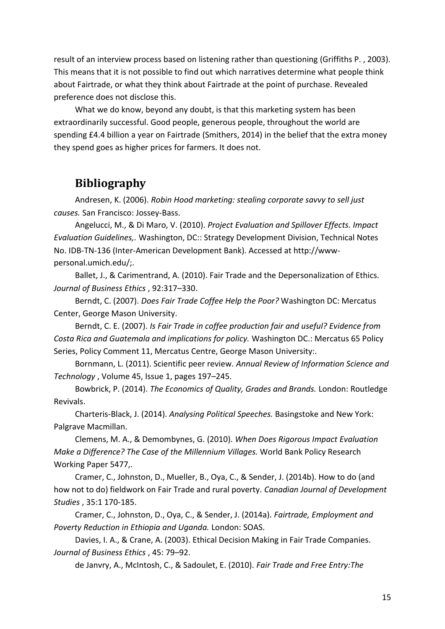result of an interview process based on listening rather than questioning (Griffiths P. , 2003). This means that it is not possible to find out which narratives determine what people think about Fairtrade, or what they think about Fairtrade at the point of purchase. Revealed preference does not disclose this.

What we do know, beyond any doubt, is that this marketing system has been extraordinarily successful. Good people, generous people, throughout the world are spending £4.4 billion a year on Fairtrade (Smithers, 2014) in the belief that the extra money they spend goes as higher prices for farmers. It does not.

## **Bibliography**

Andresen, K. (2006). *Robin Hood marketing: stealing corporate savvy to sell just causes.* San Francisco: Jossey-Bass.

Angelucci, M., & Di Maro, V. (2010). *Project Evaluation and Spillover Effects. Impact Evaluation Guidelines,.* Washington, DC:: Strategy Development Division, Technical Notes No. IDB-TN-136 (Inter-American Development Bank). Accessed at http://wwwpersonal.umich.edu/;.

Ballet, J., & Carimentrand, A. (2010). Fair Trade and the Depersonalization of Ethics. *Journal of Business Ethics* , 92:317–330.

Berndt, C. (2007). *Does Fair Trade Coffee Help the Poor?* Washington DC: Mercatus Center, George Mason University.

Berndt, C. E. (2007). *Is Fair Trade in coffee production fair and useful? Evidence from Costa Rica and Guatemala and implications for policy.* Washington DC.: Mercatus 65 Policy Series, Policy Comment 11, Mercatus Centre, George Mason University:.

Bornmann, L. (2011). Scientific peer review. *Annual Review of Information Science and Technology* , Volume 45, Issue 1, pages 197–245.

Bowbrick, P. (2014). *The Economics of Quality, Grades and Brands.* London: Routledge Revivals.

Charteris-Black, J. (2014). *Analysing Political Speeches.* Basingstoke and New York: Palgrave Macmillan.

Clemens, M. A., & Demombynes, G. (2010). *When Does Rigorous Impact Evaluation Make a Difference? The Case of the Millennium Villages.* World Bank Policy Research Working Paper 5477,.

Cramer, C., Johnston, D., Mueller, B., Oya, C., & Sender, J. (2014b). How to do (and how not to do) fieldwork on Fair Trade and rural poverty. *Canadian Journal of Development Studies* , 35:1 170-185.

Cramer, C., Johnston, D., Oya, C., & Sender, J. (2014a). *Fairtrade, Employment and Poverty Reduction in Ethiopia and Uganda.* London: SOAS.

Davies, I. A., & Crane, A. (2003). Ethical Decision Making in Fair Trade Companies. *Journal of Business Ethics* , 45: 79–92.

de Janvry, A., McIntosh, C., & Sadoulet, E. (2010). *Fair Trade and Free Entry:The*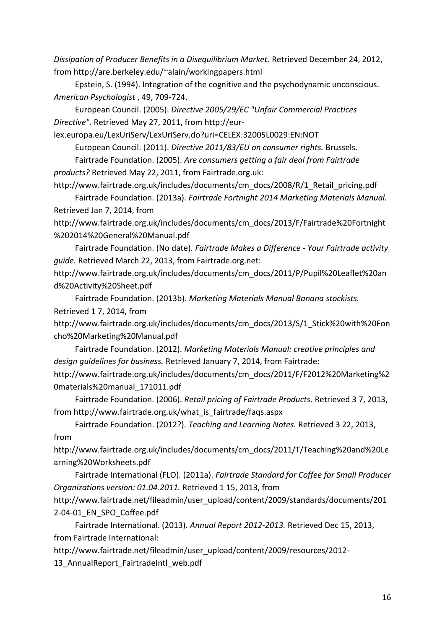*Dissipation of Producer Benefits in a Disequilibrium Market.* Retrieved December 24, 2012, from http://are.berkeley.edu/~alain/workingpapers.html

Epstein, S. (1994). Integration of the cognitive and the psychodynamic unconscious. *American Psychologist* , 49, 709-724.

European Council. (2005). *Directive 2005/29/EC "Unfair Commercial Practices Directive".* Retrieved May 27, 2011, from http://eur-

lex.europa.eu/LexUriServ/LexUriServ.do?uri=CELEX:32005L0029:EN:NOT

European Council. (2011). *Directive 2011/83/EU on consumer rights.* Brussels.

Fairtrade Foundation. (2005). *Are consumers getting a fair deal from Fairtrade products?* Retrieved May 22, 2011, from Fairtrade.org.uk:

http://www.fairtrade.org.uk/includes/documents/cm\_docs/2008/R/1\_Retail\_pricing.pdf Fairtrade Foundation. (2013a). *Fairtrade Fortnight 2014 Marketing Materials Manual.* Retrieved Jan 7, 2014, from

http://www.fairtrade.org.uk/includes/documents/cm\_docs/2013/F/Fairtrade%20Fortnight %202014%20General%20Manual.pdf

Fairtrade Foundation. (No date). *Fairtrade Makes a Difference - Your Fairtrade activity guide.* Retrieved March 22, 2013, from Fairtrade.org.net: http://www.fairtrade.org.uk/includes/documents/cm\_docs/2011/P/Pupil%20Leaflet%20an

d%20Activity%20Sheet.pdf

Fairtrade Foundation. (2013b). *Marketing Materials Manual Banana stockists.* Retrieved 1 7, 2014, from

http://www.fairtrade.org.uk/includes/documents/cm\_docs/2013/S/1\_Stick%20with%20Fon cho%20Marketing%20Manual.pdf

Fairtrade Foundation. (2012). *Marketing Materials Manual: creative principles and design guidelines for business.* Retrieved January 7, 2014, from Fairtrade:

http://www.fairtrade.org.uk/includes/documents/cm\_docs/2011/F/F2012%20Marketing%2 0materials%20manual\_171011.pdf

Fairtrade Foundation. (2006). *Retail pricing of Fairtrade Products.* Retrieved 3 7, 2013, from http://www.fairtrade.org.uk/what\_is\_fairtrade/faqs.aspx

Fairtrade Foundation. (2012?). *Teaching and Learning Notes.* Retrieved 3 22, 2013, from

http://www.fairtrade.org.uk/includes/documents/cm\_docs/2011/T/Teaching%20and%20Le arning%20Worksheets.pdf

Fairtrade International (FLO). (2011a). *Fairtrade Standard for Coffee for Small Producer Organizations version: 01.04.2011.* Retrieved 1 15, 2013, from

http://www.fairtrade.net/fileadmin/user\_upload/content/2009/standards/documents/201 2-04-01\_EN\_SPO\_Coffee.pdf

Fairtrade International. (2013). *Annual Report 2012-2013.* Retrieved Dec 15, 2013, from Fairtrade International:

http://www.fairtrade.net/fileadmin/user\_upload/content/2009/resources/2012- 13 AnnualReport FairtradeIntl web.pdf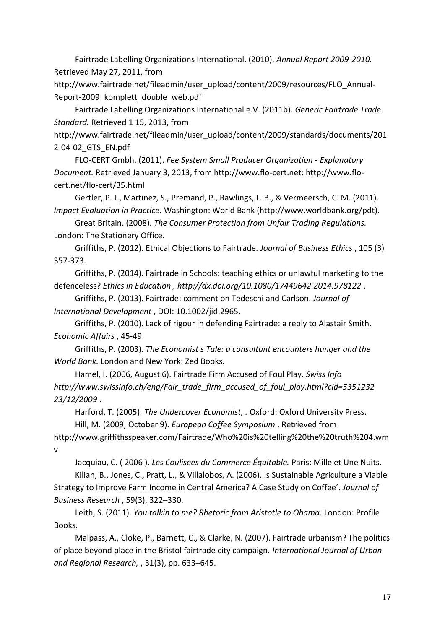Fairtrade Labelling Organizations International. (2010). *Annual Report 2009-2010.* Retrieved May 27, 2011, from

http://www.fairtrade.net/fileadmin/user\_upload/content/2009/resources/FLO\_Annual-Report-2009\_komplett\_double\_web.pdf

Fairtrade Labelling Organizations International e.V. (2011b). *Generic Fairtrade Trade Standard.* Retrieved 1 15, 2013, from

http://www.fairtrade.net/fileadmin/user\_upload/content/2009/standards/documents/201 2-04-02\_GTS\_EN.pdf

FLO-CERT Gmbh. (2011). *Fee System Small Producer Organization - Explanatory Document.* Retrieved January 3, 2013, from http://www.flo-cert.net: http://www.flocert.net/flo-cert/35.html

Gertler, P. J., Martinez, S., Premand, P., Rawlings, L. B., & Vermeersch, C. M. (2011). *Impact Evaluation in Practice.* Washington: World Bank (http://www.worldbank.org/pdt).

Great Britain. (2008). *The Consumer Protection from Unfair Trading Regulations.* London: The Stationery Office.

Griffiths, P. (2012). Ethical Objections to Fairtrade. *Journal of Business Ethics* , 105 (3) 357-373.

Griffiths, P. (2014). Fairtrade in Schools: teaching ethics or unlawful marketing to the defenceless? *Ethics in Education , http://dx.doi.org/10.1080/17449642.2014.978122* .

Griffiths, P. (2013). Fairtrade: comment on Tedeschi and Carlson. *Journal of International Development* , DOI: 10.1002/jid.2965.

Griffiths, P. (2010). Lack of rigour in defending Fairtrade: a reply to Alastair Smith. *Economic Affairs* , 45-49.

Griffiths, P. (2003). *The Economist's Tale: a consultant encounters hunger and the World Bank.* London and New York: Zed Books.

Hamel, I. (2006, August 6). Fairtrade Firm Accused of Foul Play. *Swiss Info http://www.swissinfo.ch/eng/Fair\_trade\_firm\_accused\_of\_foul\_play.html?cid=5351232 23/12/2009* .

Harford, T. (2005). *The Undercover Economist, .* Oxford: Oxford University Press.

Hill, M. (2009, October 9). *European Coffee Symposium* . Retrieved from http://www.griffithsspeaker.com/Fairtrade/Who%20is%20telling%20the%20truth%204.wm v

Jacquiau, C. ( 2006 ). *Les Coulisees du Commerce Équitable.* Paris: Mille et Une Nuits.

Kilian, B., Jones, C., Pratt, L., & Villalobos, A. (2006). Is Sustainable Agriculture a Viable Strategy to Improve Farm Income in Central America? A Case Study on Coffee'. *Journal of Business Research* , 59(3), 322–330.

Leith, S. (2011). *You talkin to me? Rhetoric from Aristotle to Obama.* London: Profile Books.

Malpass, A., Cloke, P., Barnett, C., & Clarke, N. (2007). Fairtrade urbanism? The politics of place beyond place in the Bristol fairtrade city campaign. *International Journal of Urban and Regional Research,* , 31(3), pp. 633–645.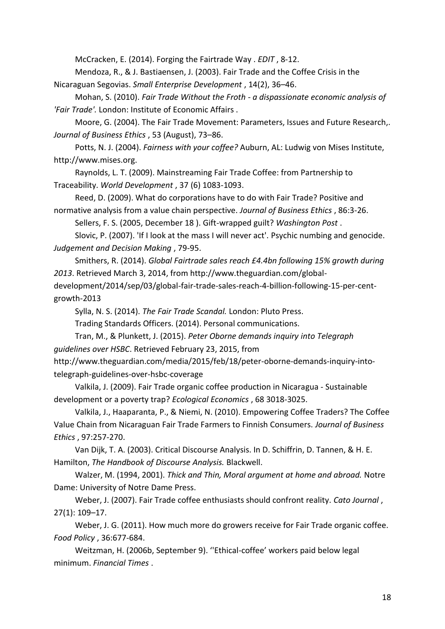McCracken, E. (2014). Forging the Fairtrade Way . *EDIT* , 8-12.

Mendoza, R., & J. Bastiaensen, J. (2003). Fair Trade and the Coffee Crisis in the Nicaraguan Segovias. *Small Enterprise Development* , 14(2), 36–46.

Mohan, S. (2010). *Fair Trade Without the Froth - a dispassionate economic analysis of 'Fair Trade'.* London: Institute of Economic Affairs .

Moore, G. (2004). The Fair Trade Movement: Parameters, Issues and Future Research,. *Journal of Business Ethics* , 53 (August), 73–86.

Potts, N. J. (2004). *Fairness with your coffee?* Auburn, AL: Ludwig von Mises Institute, http://www.mises.org.

Raynolds, L. T. (2009). Mainstreaming Fair Trade Coffee: from Partnership to Traceability. *World Development* , 37 (6) 1083-1093.

Reed, D. (2009). What do corporations have to do with Fair Trade? Positive and normative analysis from a value chain perspective. *Journal of Business Ethics* , 86:3-26.

Sellers, F. S. (2005, December 18 ). Gift-wrapped guilt? *Washington Post* .

Slovic, P. (2007). 'If I look at the mass I will never act'. Psychic numbing and genocide. *Judgement and Decision Making* , 79-95.

Smithers, R. (2014). *Global Fairtrade sales reach £4.4bn following 15% growth during 2013*. Retrieved March 3, 2014, from http://www.theguardian.com/global-

development/2014/sep/03/global-fair-trade-sales-reach-4-billion-following-15-per-centgrowth-2013

Sylla, N. S. (2014). *The Fair Trade Scandal.* London: Pluto Press.

Trading Standards Officers. (2014). Personal communications.

Tran, M., & Plunkett, J. (2015). *Peter Oborne demands inquiry into Telegraph guidelines over HSBC*. Retrieved February 23, 2015, from

http://www.theguardian.com/media/2015/feb/18/peter-oborne-demands-inquiry-intotelegraph-guidelines-over-hsbc-coverage

Valkila, J. (2009). Fair Trade organic coffee production in Nicaragua - Sustainable development or a poverty trap? *Ecological Economics* , 68 3018-3025.

Valkila, J., Haaparanta, P., & Niemi, N. (2010). Empowering Coffee Traders? The Coffee Value Chain from Nicaraguan Fair Trade Farmers to Finnish Consumers. *Journal of Business Ethics* , 97:257-270.

Van Dijk, T. A. (2003). Critical Discourse Analysis. In D. Schiffrin, D. Tannen, & H. E. Hamilton, *The Handbook of Discourse Analysis.* Blackwell.

Walzer, M. (1994, 2001). *Thick and Thin, Moral argument at home and abroad.* Notre Dame: University of Notre Dame Press.

Weber, J. (2007). Fair Trade coffee enthusiasts should confront reality. *Cato Journal* , 27(1): 109–17.

Weber, J. G. (2011). How much more do growers receive for Fair Trade organic coffee. *Food Policy* , 36:677-684.

Weitzman, H. (2006b, September 9). ''Ethical-coffee' workers paid below legal minimum. *Financial Times* .